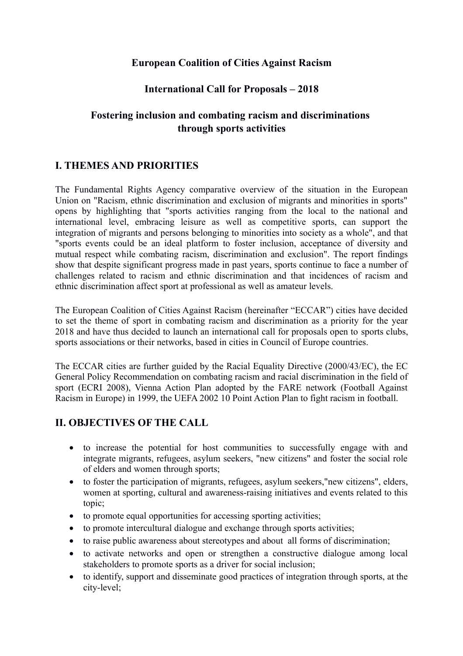#### **European Coalition of Cities Against Racism**

#### **International Call for Proposals – 2018**

# **Fostering inclusion and combating racism and discriminations through sports activities**

## **I. THEMES AND PRIORITIES**

The Fundamental Rights Agency comparative overview of the situation in the European Union on "Racism, ethnic discrimination and exclusion of migrants and minorities in sports" opens by highlighting that "sports activities ranging from the local to the national and international level, embracing leisure as well as competitive sports, can support the integration of migrants and persons belonging to minorities into society as a whole", and that "sports events could be an ideal platform to foster inclusion, acceptance of diversity and mutual respect while combating racism, discrimination and exclusion". The report findings show that despite significant progress made in past years, sports continue to face a number of challenges related to racism and ethnic discrimination and that incidences of racism and ethnic discrimination affect sport at professional as well as amateur levels.

The European Coalition of Cities Against Racism (hereinafter "ECCAR") cities have decided to set the theme of sport in combating racism and discrimination as a priority for the year 2018 and have thus decided to launch an international call for proposals open to sports clubs, sports associations or their networks, based in cities in Council of Europe countries.

The ECCAR cities are further guided by the Racial Equality Directive (2000/43/EC), the EC General Policy Recommendation on combating racism and racial discrimination in the field of sport (ECRI 2008), Vienna Action Plan adopted by the FARE network (Football Against Racism in Europe) in 1999, the UEFA 2002 10 Point Action Plan to fight racism in football.

## **II. OBJECTIVES OF THE CALL**

- to increase the potential for host communities to successfully engage with and integrate migrants, refugees, asylum seekers, "new citizens" and foster the social role of elders and women through sports;
- to foster the participation of migrants, refugees, asylum seekers,"new citizens", elders, women at sporting, cultural and awareness-raising initiatives and events related to this topic;
- to promote equal opportunities for accessing sporting activities;
- to promote intercultural dialogue and exchange through sports activities;
- to raise public awareness about stereotypes and about all forms of discrimination;
- to activate networks and open or strengthen a constructive dialogue among local stakeholders to promote sports as a driver for social inclusion;
- to identify, support and disseminate good practices of integration through sports, at the city-level;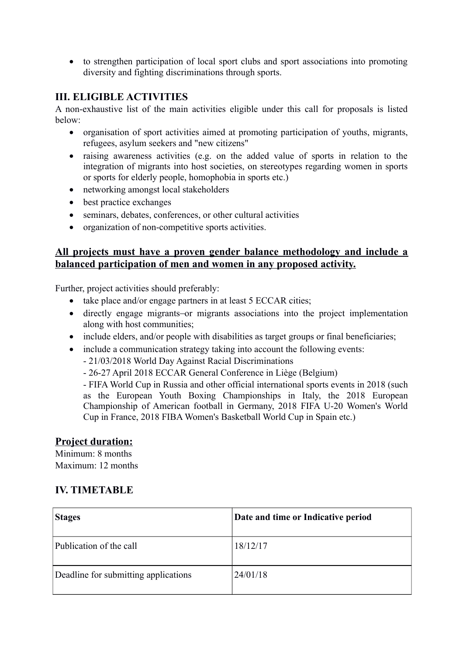• to strengthen participation of local sport clubs and sport associations into promoting diversity and fighting discriminations through sports.

#### **III. ELIGIBLE ACTIVITIES**

A non-exhaustive list of the main activities eligible under this call for proposals is listed below:

- organisation of sport activities aimed at promoting participation of youths, migrants, refugees, asylum seekers and "new citizens"
- raising awareness activities (e.g. on the added value of sports in relation to the integration of migrants into host societies, on stereotypes regarding women in sports or sports for elderly people, homophobia in sports etc.)
- networking amongst local stakeholders
- best practice exchanges
- seminars, debates, conferences, or other cultural activities
- organization of non-competitive sports activities.

#### **All projects must have a proven gender balance methodology and include a balanced participation of men and women in any proposed activity.**

Further, project activities should preferably:

- take place and/or engage partners in at least 5 ECCAR cities;
- directly engage migrants or migrants associations into the project implementation along with host communities;
- include elders, and/or people with disabilities as target groups or final beneficiaries;
- include a communication strategy taking into account the following events:
	- 21/03/2018 World Day Against Racial Discriminations
	- 26-27 April 2018 ECCAR General Conference in Liège (Belgium)

- FIFA World Cup in Russia and other official international sports events in 2018 (such as the European Youth Boxing Championships in Italy, the 2018 European Championship of American football in Germany, 2018 FIFA U-20 Women's World Cup in France, 2018 FIBA Women's Basketball World Cup in Spain etc.)

#### **Project duration:**

Minimum: 8 months Maximum: 12 months

## **IV. TIMETABLE**

| <b>Stages</b>                        | Date and time or Indicative period |
|--------------------------------------|------------------------------------|
| Publication of the call              | 18/12/17                           |
| Deadline for submitting applications | 24/01/18                           |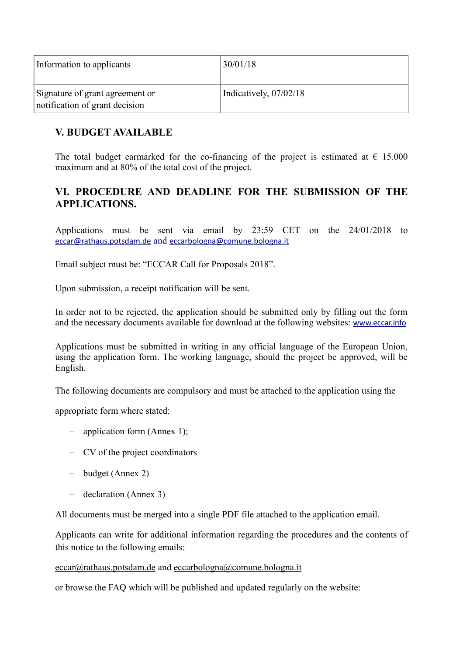| Information to applicants                                         | 130/01/18              |
|-------------------------------------------------------------------|------------------------|
| Signature of grant agreement or<br>notification of grant decision | Indicatively, 07/02/18 |

#### **V. BUDGET AVAILABLE**

The total budget earmarked for the co-financing of the project is estimated at  $\epsilon$  15.000 maximum and at 80% of the total cost of the project.

## **VI. PROCEDURE AND DEADLINE FOR THE SUBMISSION OF THE APPLICATIONS.**

Applications must be sent via email by 23:59 CET on the 24/01/2018 to [eccar@rathaus.potsdam.de](mailto:eccar@rathaus.potsdam.de) and [eccarbologna@comune.bologna.it](mailto:eccarbologna@comune.bologna.it)

Email subject must be: "ECCAR Call for Proposals 2018".

Upon submission, a receipt notification will be sent.

In order not to be rejected, the application should be submitted only by filling out the form and the necessary documents available for download at the following websites: [www.eccar.info](http://www.eccar.info/)

Applications must be submitted in writing in any official language of the European Union, using the application form. The working language, should the project be approved, will be English.

The following documents are compulsory and must be attached to the application using the

appropriate form where stated:

- $\alpha$  application form (Annex 1);
- CV of the project coordinators
- budget (Annex 2)
- declaration (Annex 3)

All documents must be merged into a single PDF file attached to the application email.

Applicants can write for additional information regarding the procedures and the contents of this notice to the following emails:

#### [eccar@rathaus.potsdam.de](mailto:eccar@rathaus.potsdam.de) and [eccarbologna@comune.bologna.it](mailto:eccarbologna@comune.bologna.it)

or browse the FAQ which will be published and updated regularly on the website: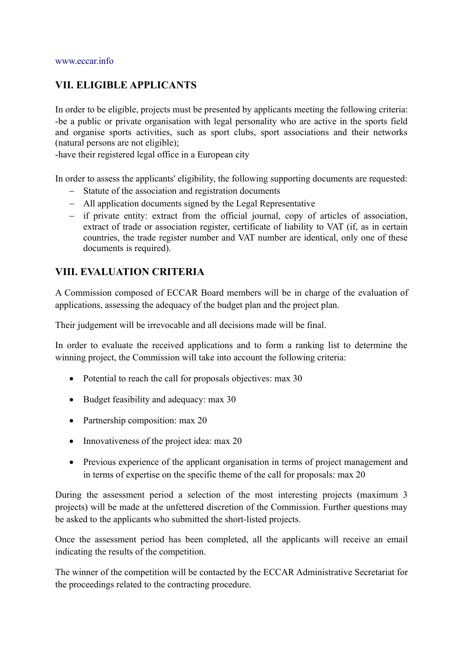#### **VII. ELIGIBLE APPLICANTS**

In order to be eligible, projects must be presented by applicants meeting the following criteria: -be a public or private organisation with legal personality who are active in the sports field and organise sports activities, such as sport clubs, sport associations and their networks (natural persons are not eligible);

-have their registered legal office in a European city

In order to assess the applicants' eligibility, the following supporting documents are requested:

- Statute of the association and registration documents
- All application documents signed by the Legal Representative
- if private entity: extract from the official journal, copy of articles of association, extract of trade or association register, certificate of liability to VAT (if, as in certain countries, the trade register number and VAT number are identical, only one of these documents is required).

## **VIII. EVALUATION CRITERIA**

A Commission composed of ECCAR Board members will be in charge of the evaluation of applications, assessing the adequacy of the budget plan and the project plan.

Their judgement will be irrevocable and all decisions made will be final.

In order to evaluate the received applications and to form a ranking list to determine the winning project, the Commission will take into account the following criteria:

- Potential to reach the call for proposals objectives: max 30
- Budget feasibility and adequacy: max 30
- Partnership composition: max 20
- Innovativeness of the project idea: max 20
- Previous experience of the applicant organisation in terms of project management and in terms of expertise on the specific theme of the call for proposals: max 20

During the assessment period a selection of the most interesting projects (maximum 3 projects) will be made at the unfettered discretion of the Commission. Further questions may be asked to the applicants who submitted the short-listed projects.

Once the assessment period has been completed, all the applicants will receive an email indicating the results of the competition.

The winner of the competition will be contacted by the ECCAR Administrative Secretariat for the proceedings related to the contracting procedure.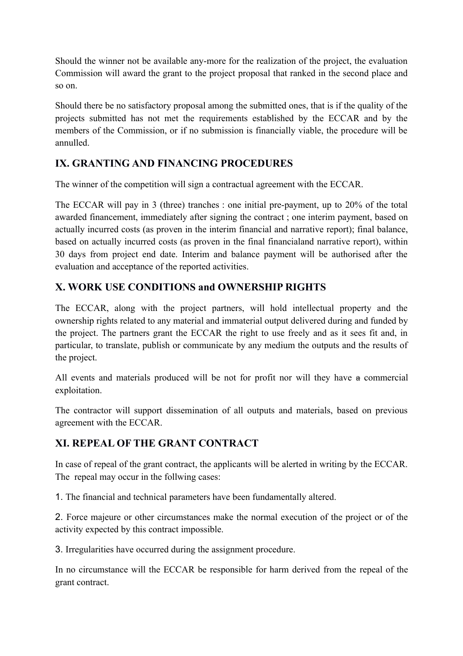Should the winner not be available any-more for the realization of the project, the evaluation Commission will award the grant to the project proposal that ranked in the second place and so on.

Should there be no satisfactory proposal among the submitted ones, that is if the quality of the projects submitted has not met the requirements established by the ECCAR and by the members of the Commission, or if no submission is financially viable, the procedure will be annulled.

# **IX. GRANTING AND FINANCING PROCEDURES**

The winner of the competition will sign a contractual agreement with the ECCAR.

The ECCAR will pay in 3 (three) tranches : one initial pre-payment, up to 20% of the total awarded financement, immediately after signing the contract ; one interim payment, based on actually incurred costs (as proven in the interim financial and narrative report); final balance, based on actually incurred costs (as proven in the final financialand narrative report), within 30 days from project end date. Interim and balance payment will be authorised after the evaluation and acceptance of the reported activities.

# **X. WORK USE CONDITIONS and OWNERSHIP RIGHTS**

The ECCAR, along with the project partners, will hold intellectual property and the ownership rights related to any material and immaterial output delivered during and funded by the project. The partners grant the ECCAR the right to use freely and as it sees fit and, in particular, to translate, publish or communicate by any medium the outputs and the results of the project.

All events and materials produced will be not for profit nor will they have a commercial exploitation.

The contractor will support dissemination of all outputs and materials, based on previous agreement with the ECCAR.

## **XI. REPEAL OF THE GRANT CONTRACT**

In case of repeal of the grant contract, the applicants will be alerted in writing by the ECCAR. The repeal may occur in the follwing cases:

1. The financial and technical parameters have been fundamentally altered.

2. Force majeure or other circumstances make the normal execution of the project or of the activity expected by this contract impossible.

3. Irregularities have occurred during the assignment procedure.

In no circumstance will the ECCAR be responsible for harm derived from the repeal of the grant contract.